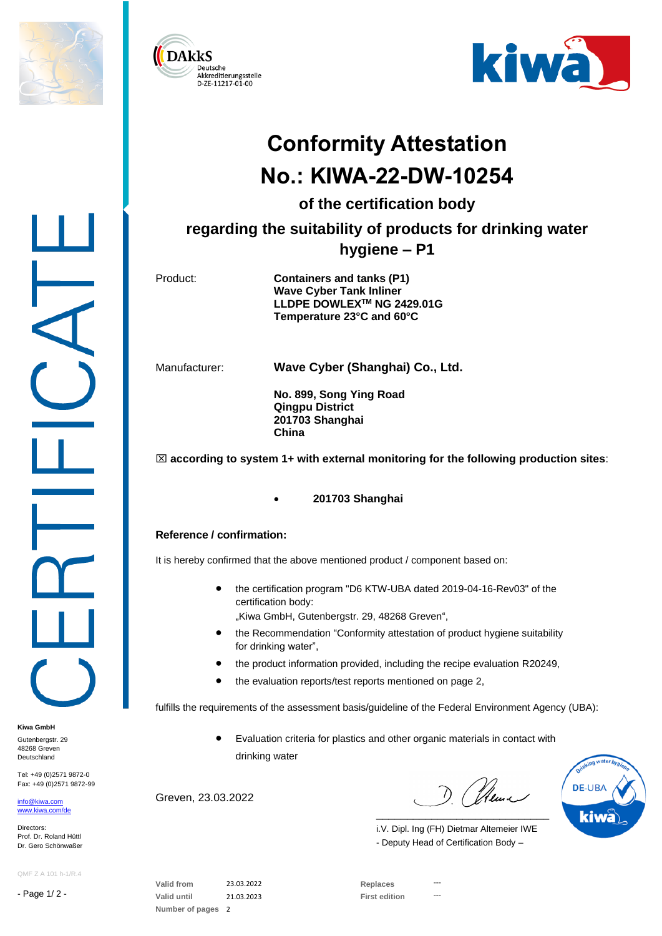





## **Conformity Attestation No.: KIWA-22-DW-10254**

**of the certification body**

**regarding the suitability of products for drinking water** 

## **hygiene – P1**

Product: **Containers and tanks (P1) Wave Cyber Tank Inliner LLDPE DOWLEXTM NG 2429.01G Temperature 23°C and 60°C**

Manufacturer: **Wave Cyber (Shanghai) Co., Ltd.**

**No. 899, Song Ying Road Qingpu District 201703 Shanghai China**

 $\boxtimes$  according to system 1+ with external monitoring for the following production sites:

## • **201703 Shanghai**

## **Reference / confirmation:**

It is hereby confirmed that the above mentioned product / component based on:

• the certification program "D6 KTW-UBA dated 2019-04-16-Rev03" of the certification body:

"Kiwa GmbH, Gutenbergstr. 29, 48268 Greven",

- the Recommendation "Conformity attestation of product hygiene suitability for drinking water",
- the product information provided, including the recipe evaluation R20249,
- the evaluation reports/test reports mentioned on page 2,

fulfills the requirements of the assessment basis/guideline of the Federal Environment Agency (UBA):

• Evaluation criteria for plastics and other organic materials in contact with drinking water

Greven, 23.03.2022

D (Neme \_\_\_\_\_\_\_\_\_\_\_\_\_\_\_\_\_\_\_\_\_\_\_\_\_\_\_\_



i.V. Dipl. Ing (FH) Dietmar Altemeier IWE - Deputy Head of Certification Body –

QMF Z A 101 h-1/R.4

Tel: +49 (0)2571 9872-0 Fax: +49 (0)2571 9872-99

- Page 1/ 2 -

**Kiwa GmbH** Gutenbergstr, 29 48268 Greven Deutschland

[info@kiwa.com](mailto:info@kiwa.com) [www.kiwa.com/d](http://www.kiwa.com/)e

Directors: Prof. Dr. Roland Hüttl Dr. Gero Schönwaßer

> **Valid from** 23.03.2022 **Replaces --- Valid until** 21.03.2023 **First edition --- Number of pages** 2